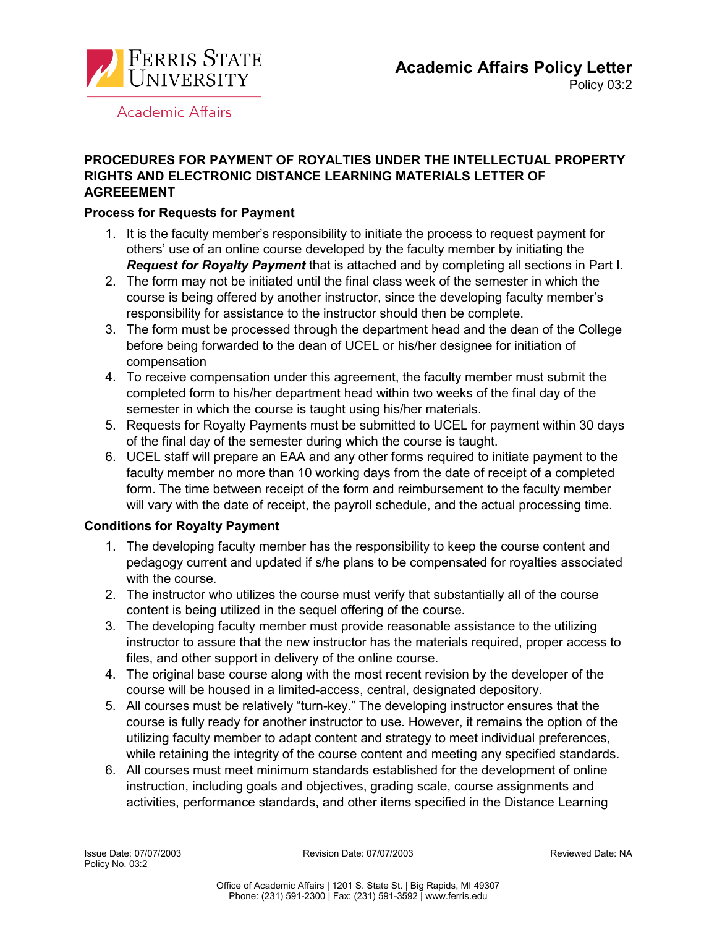

**Academic Affairs** 

## **PROCEDURES FOR PAYMENT OF ROYALTIES UNDER THE INTELLECTUAL PROPERTY RIGHTS AND ELECTRONIC DISTANCE LEARNING MATERIALS LETTER OF AGREEEMENT**

## **Process for Requests for Payment**

- 1. It is the faculty member's responsibility to initiate the process to request payment for others' use of an online course developed by the faculty member by initiating the *Request for Royalty Payment* that is attached and by completing all sections in Part I.
- 2. The form may not be initiated until the final class week of the semester in which the course is being offered by another instructor, since the developing faculty member's responsibility for assistance to the instructor should then be complete.
- 3. The form must be processed through the department head and the dean of the College before being forwarded to the dean of UCEL or his/her designee for initiation of compensation
- 4. To receive compensation under this agreement, the faculty member must submit the completed form to his/her department head within two weeks of the final day of the semester in which the course is taught using his/her materials.
- 5. Requests for Royalty Payments must be submitted to UCEL for payment within 30 days of the final day of the semester during which the course is taught.
- 6. UCEL staff will prepare an EAA and any other forms required to initiate payment to the faculty member no more than 10 working days from the date of receipt of a completed form. The time between receipt of the form and reimbursement to the faculty member will vary with the date of receipt, the payroll schedule, and the actual processing time.

# **Conditions for Royalty Payment**

- 1. The developing faculty member has the responsibility to keep the course content and pedagogy current and updated if s/he plans to be compensated for royalties associated with the course.
- 2. The instructor who utilizes the course must verify that substantially all of the course content is being utilized in the sequel offering of the course.
- 3. The developing faculty member must provide reasonable assistance to the utilizing instructor to assure that the new instructor has the materials required, proper access to files, and other support in delivery of the online course.
- 4. The original base course along with the most recent revision by the developer of the course will be housed in a limited-access, central, designated depository.
- 5. All courses must be relatively "turn-key." The developing instructor ensures that the course is fully ready for another instructor to use. However, it remains the option of the utilizing faculty member to adapt content and strategy to meet individual preferences, while retaining the integrity of the course content and meeting any specified standards.
- 6. All courses must meet minimum standards established for the development of online instruction, including goals and objectives, grading scale, course assignments and activities, performance standards, and other items specified in the Distance Learning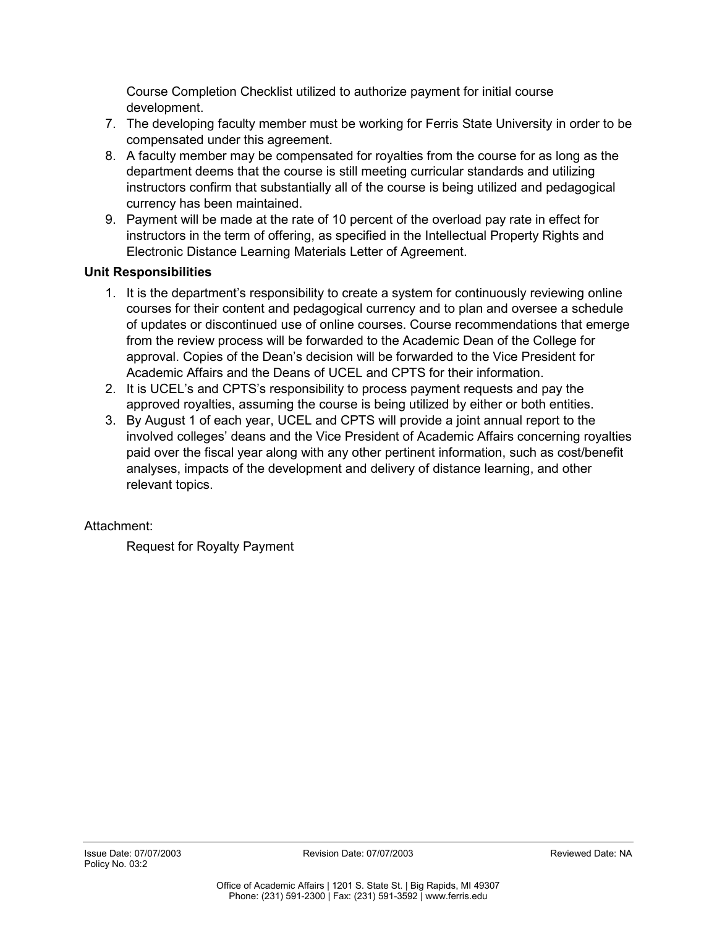Course Completion Checklist utilized to authorize payment for initial course development.

- 7. The developing faculty member must be working for Ferris State University in order to be compensated under this agreement.
- 8. A faculty member may be compensated for royalties from the course for as long as the department deems that the course is still meeting curricular standards and utilizing instructors confirm that substantially all of the course is being utilized and pedagogical currency has been maintained.
- 9. Payment will be made at the rate of 10 percent of the overload pay rate in effect for instructors in the term of offering, as specified in the Intellectual Property Rights and Electronic Distance Learning Materials Letter of Agreement.

## **Unit Responsibilities**

- 1. It is the department's responsibility to create a system for continuously reviewing online courses for their content and pedagogical currency and to plan and oversee a schedule of updates or discontinued use of online courses. Course recommendations that emerge from the review process will be forwarded to the Academic Dean of the College for approval. Copies of the Dean's decision will be forwarded to the Vice President for Academic Affairs and the Deans of UCEL and CPTS for their information.
- 2. It is UCEL's and CPTS's responsibility to process payment requests and pay the approved royalties, assuming the course is being utilized by either or both entities.
- 3. By August 1 of each year, UCEL and CPTS will provide a joint annual report to the involved colleges' deans and the Vice President of Academic Affairs concerning royalties paid over the fiscal year along with any other pertinent information, such as cost/benefit analyses, impacts of the development and delivery of distance learning, and other relevant topics.

# Attachment:

Request for Royalty Payment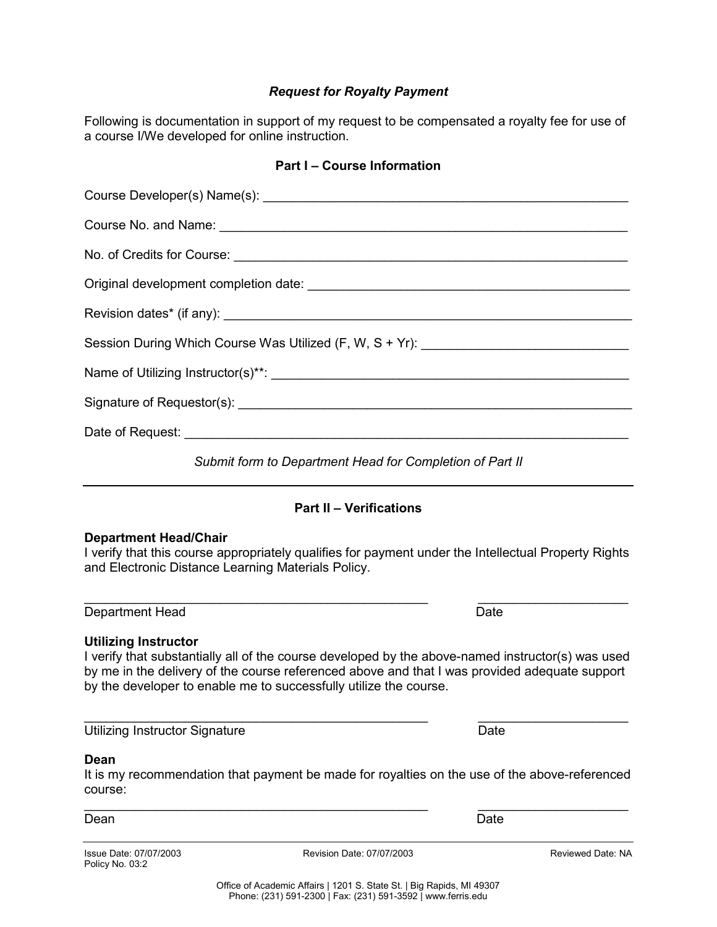### *Request for Royalty Payment*

Following is documentation in support of my request to be compensated a royalty fee for use of a course I/We developed for online instruction.

### **Part I – Course Information**

| Session During Which Course Was Utilized (F, W, S + Yr): _______________________ |
|----------------------------------------------------------------------------------|
|                                                                                  |
|                                                                                  |
|                                                                                  |
| Submit form to Department Head for Completion of Part II                         |

### **Part II – Verifications**

### **Department Head/Chair**

I verify that this course appropriately qualifies for payment under the Intellectual Property Rights and Electronic Distance Learning Materials Policy.

Department Head Date

#### **Utilizing Instructor**

I verify that substantially all of the course developed by the above-named instructor(s) was used by me in the delivery of the course referenced above and that I was provided adequate support by the developer to enable me to successfully utilize the course.

\_\_\_\_\_\_\_\_\_\_\_\_\_\_\_\_\_\_\_\_\_\_\_\_\_\_\_\_\_\_\_\_\_\_\_\_\_\_\_\_\_\_\_\_\_\_\_\_ \_\_\_\_\_\_\_\_\_\_\_\_\_\_\_\_\_\_\_\_\_

Utilizing Instructor Signature Date

#### **Dean**

It is my recommendation that payment be made for royalties on the use of the above-referenced course: \_\_\_\_\_\_\_\_\_\_\_\_\_\_\_\_\_\_\_\_\_\_\_\_\_\_\_\_\_\_\_\_\_\_\_\_\_\_\_\_\_\_\_\_\_\_\_\_ \_\_\_\_\_\_\_\_\_\_\_\_\_\_\_\_\_\_\_\_\_

Dean Dean Date and the Contract of the Contract of the Contract of the Contract of the Date

Policy No. 03:2

Issue Date: 07/07/2003 Revision Date: 07/07/2003 Reviewed Date: NA

\_\_\_\_\_\_\_\_\_\_\_\_\_\_\_\_\_\_\_\_\_\_\_\_\_\_\_\_\_\_\_\_\_\_\_\_\_\_\_\_\_\_\_\_\_\_\_\_ \_\_\_\_\_\_\_\_\_\_\_\_\_\_\_\_\_\_\_\_\_